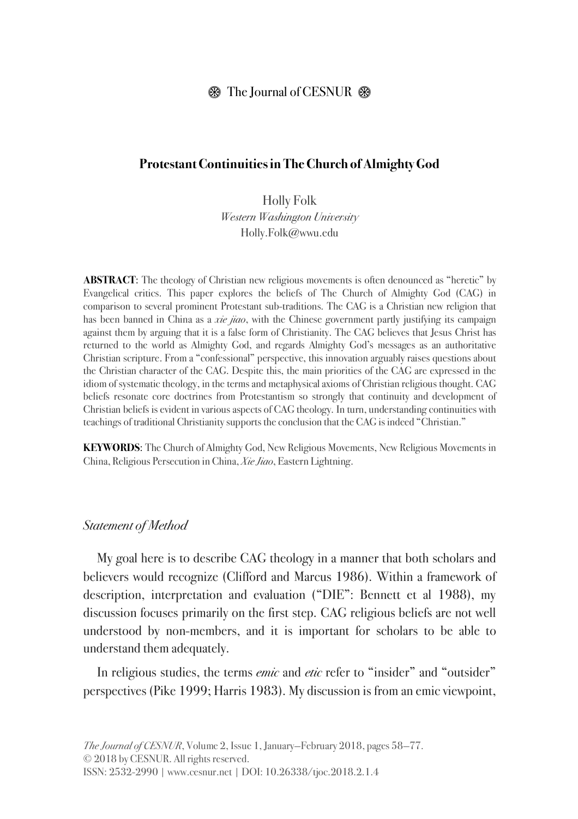# $\circledR$  The Journal of CESNUR  $\circledR$

## **Protestant Continuities in The Church of Almighty God**

Holly Folk *Western Washington University* Holly.Folk@wwu.edu

**ABSTRACT**: The theology of Christian new religious movements is often denounced as "heretic" by Evangelical critics. This paper explores the beliefs of The Church of Almighty God (CAG) in comparison to several prominent Protestant sub-traditions. The CAG is a Christian new religion that has been banned in China as a *xie jiao*, with the Chinese government partly justifying its campaign against them by arguing that it is a false form of Christianity. The CAG believes that Jesus Christ has returned to the world as Almighty God, and regards Almighty God's messages as an authoritative Christian scripture. From a "confessional" perspective, this innovation arguably raises questions about the Christian character of the CAG. Despite this, the main priorities of the CAG are expressed in the idiom of systematic theology, in the terms and metaphysical axioms of Christian religious thought. CAG beliefs resonate core doctrines from Protestantism so strongly that continuity and development of Christian beliefs is evident in various aspects of CAG theology. In turn, understanding continuities with teachings of traditional Christianity supports the conclusion that the CAG is indeed "Christian."

**KEYWORDS**: The Church of Almighty God, New Religious Movements, New Religious Movements in China, Religious Persecution in China, *Xie Jiao*, Eastern Lightning.

#### *Statement of Method*

My goal here is to describe CAG theology in a manner that both scholars and believers would recognize (Clifford and Marcus 1986). Within a framework of description, interpretation and evaluation ("DIE": Bennett et al 1988), my discussion focuses primarily on the first step. CAG religious beliefs are not well understood by non-members, and it is important for scholars to be able to understand them adequately.

In religious studies, the terms *emic* and *etic* refer to "insider" and "outsider" perspectives (Pike 1999; Harris 1983). My discussion is from an emic viewpoint,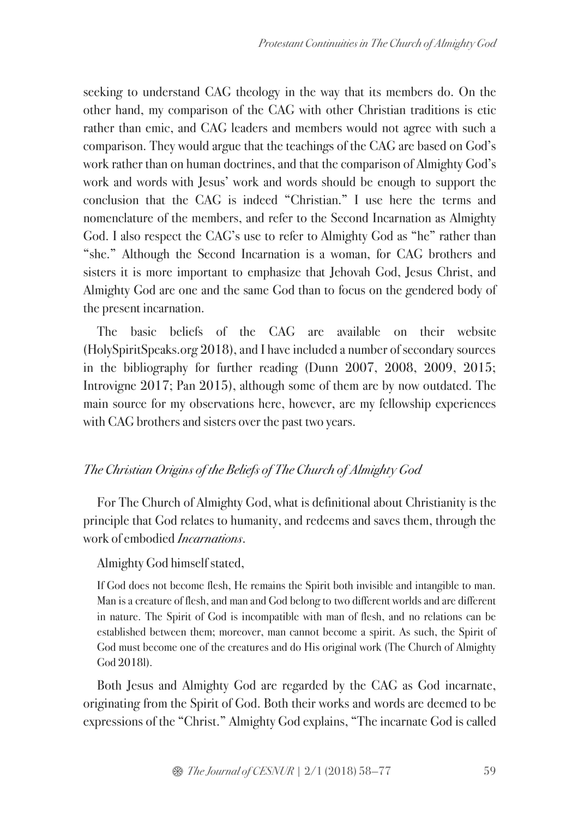seeking to understand CAG theology in the way that its members do. On the other hand, my comparison of the CAG with other Christian traditions is etic rather than emic, and CAG leaders and members would not agree with such a comparison. They would argue that the teachings of the CAG are based on God's work rather than on human doctrines, and that the comparison of Almighty God's work and words with Jesus' work and words should be enough to support the conclusion that the CAG is indeed "Christian." I use here the terms and nomenclature of the members, and refer to the Second Incarnation as Almighty God. I also respect the CAG's use to refer to Almighty God as "he" rather than "she." Although the Second Incarnation is a woman, for CAG brothers and sisters it is more important to emphasize that Jehovah God, Jesus Christ, and Almighty God are one and the same God than to focus on the gendered body of the present incarnation.

The basic beliefs of the CAG are available on their website (HolySpiritSpeaks.org 2018), and I have included a number of secondary sources in the bibliography for further reading (Dunn 2007, 2008, 2009, 2015; Introvigne 2017; Pan 2015), although some of them are by now outdated. The main source for my observations here, however, are my fellowship experiences with CAG brothers and sisters over the past two years.

# *The Christian Origins of the Beliefs of The Church of Almighty God*

For The Church of Almighty God, what is definitional about Christianity is the principle that God relates to humanity, and redeems and saves them, through the work of embodied *Incarnations*.

# Almighty God himself stated,

If God does not become flesh, He remains the Spirit both invisible and intangible to man. Man is a creature of flesh, and man and God belong to two different worlds and are different in nature. The Spirit of God is incompatible with man of flesh, and no relations can be established between them; moreover, man cannot become a spirit. As such, the Spirit of God must become one of the creatures and do His original work (The Church of Almighty God 2018l).

Both Jesus and Almighty God are regarded by the CAG as God incarnate, originating from the Spirit of God. Both their works and words are deemed to be expressions of the "Christ." Almighty God explains, "The incarnate God is called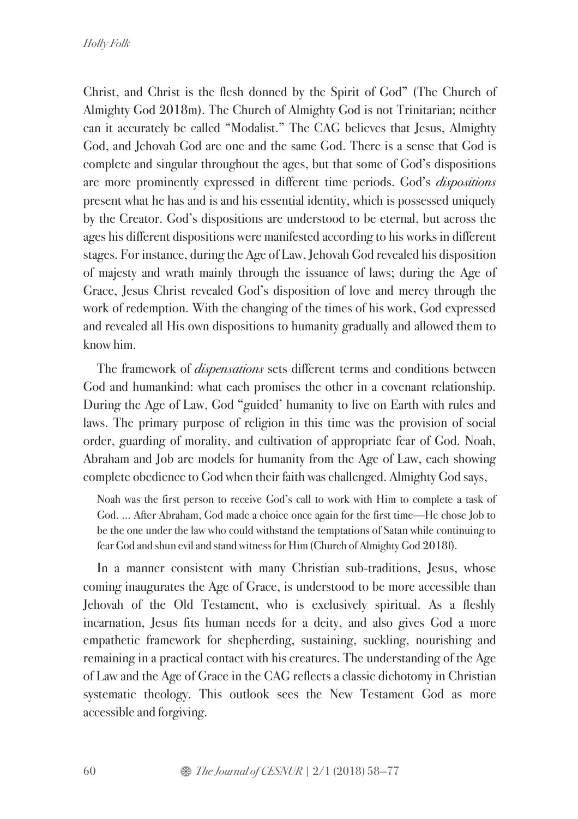Christ, and Christ is the flesh donned by the Spirit of God" (The Church of Almighty God 2018m). The Church of Almighty God is not Trinitarian; neither can it accurately be called "Modalist." The CAG believes that Jesus, Almighty God, and Jehovah God are one and the same God. There is a sense that God is complete and singular throughout the ages, but that some of God's dispositions are more prominently expressed in different time periods. God's *dispositions* present what he has and is and his essential identity, which is possessed uniquely by the Creator. God's dispositions are understood to be eternal, but across the ages his different dispositions were manifested according to his works in different stages. For instance, during the Age of Law, Jehovah God revealed his disposition of majesty and wrath mainly through the issuance of laws; during the Age of Grace, Jesus Christ revealed God's disposition of love and mercy through the work of redemption. With the changing of the times of his work, God expressed and revealed all His own dispositions to humanity gradually and allowed them to know him.

The framework of *dispensations* sets different terms and conditions between God and humankind: what each promises the other in a covenant relationship. During the Age of Law, God "guided' humanity to live on Earth with rules and laws. The primary purpose of religion in this time was the provision of social order, guarding of morality, and cultivation of appropriate fear of God. Noah, Abraham and Job are models for humanity from the Age of Law, each showing complete obedience to God when their faith was challenged. Almighty God says,

Noah was the first person to receive God's call to work with Him to complete a task of God. ... After Abraham, God made a choice once again for the first time—He chose Job to be the one under the law who could withstand the temptations of Satan while continuing to fear God and shun evil and stand witness for Him (Church of Almighty God 2018f).

In a manner consistent with many Christian sub-traditions, Jesus, whose coming inaugurates the Age of Grace, is understood to be more accessible than Jehovah of the Old Testament, who is exclusively spiritual. As a fleshly incarnation, Jesus fits human needs for a deity, and also gives God a more empathetic framework for shepherding, sustaining, suckling, nourishing and remaining in a practical contact with his creatures. The understanding of the Age of Law and the Age of Grace in the CAG reflects a classic dichotomy in Christian systematic theology. This outlook sees the New Testament God as more accessible and forgiving.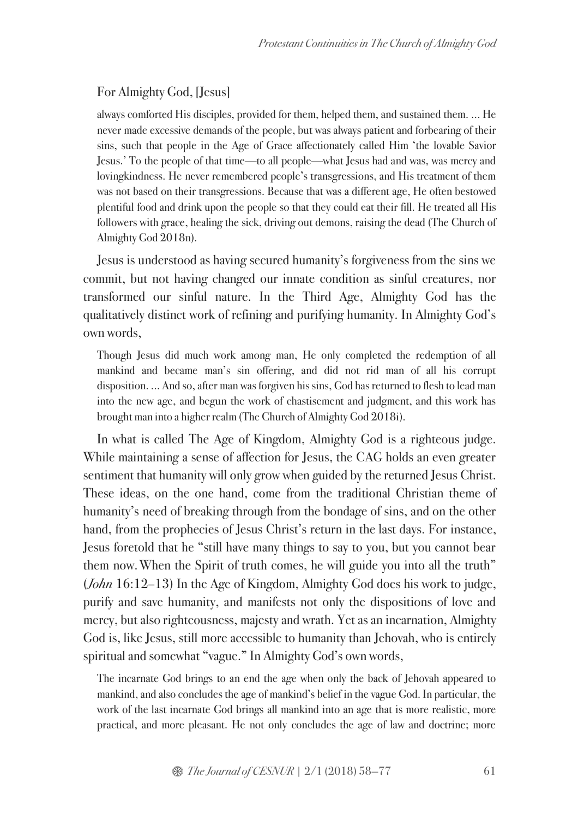# For Almighty God, [Jesus]

always comforted His disciples, provided for them, helped them, and sustained them. ... He never made excessive demands of the people, but was always patient and forbearing of their sins, such that people in the Age of Grace affectionately called Him 'the lovable Savior Jesus.' To the people of that time—to all people—what Jesus had and was, was mercy and lovingkindness. He never remembered people's transgressions, and His treatment of them was not based on their transgressions. Because that was a different age, He often bestowed plentiful food and drink upon the people so that they could eat their fill. He treated all His followers with grace, healing the sick, driving out demons, raising the dead (The Church of Almighty God 2018n).

Jesus is understood as having secured humanity's forgiveness from the sins we commit, but not having changed our innate condition as sinful creatures, nor transformed our sinful nature. In the Third Age, Almighty God has the qualitatively distinct work of refining and purifying humanity. In Almighty God's own words,

Though Jesus did much work among man, He only completed the redemption of all mankind and became man's sin offering, and did not rid man of all his corrupt disposition. ... And so, after man was forgiven his sins, God has returned to flesh to lead man into the new age, and begun the work of chastisement and judgment, and this work has brought man into a higher realm (The Church of Almighty God 2018i).

In what is called The Age of Kingdom, Almighty God is a righteous judge. While maintaining a sense of affection for Jesus, the CAG holds an even greater sentiment that humanity will only grow when guided by the returned Jesus Christ. These ideas, on the one hand, come from the traditional Christian theme of humanity's need of breaking through from the bondage of sins, and on the other hand, from the prophecies of Jesus Christ's return in the last days. For instance, Jesus foretold that he "still have many things to say to you, but you cannot bear them now.When the Spirit of truth comes, he will guide you into all the truth" (*John* 16:12–13) In the Age of Kingdom, Almighty God does his work to judge, purify and save humanity, and manifests not only the dispositions of love and mercy, but also righteousness, majesty and wrath. Yet as an incarnation, Almighty God is, like Jesus, still more accessible to humanity than Jehovah, who is entirely spiritual and somewhat "vague." In Almighty God's own words,

The incarnate God brings to an end the age when only the back of Jehovah appeared to mankind, and also concludes the age of mankind's belief in the vague God. In particular, the work of the last incarnate God brings all mankind into an age that is more realistic, more practical, and more pleasant. He not only concludes the age of law and doctrine; more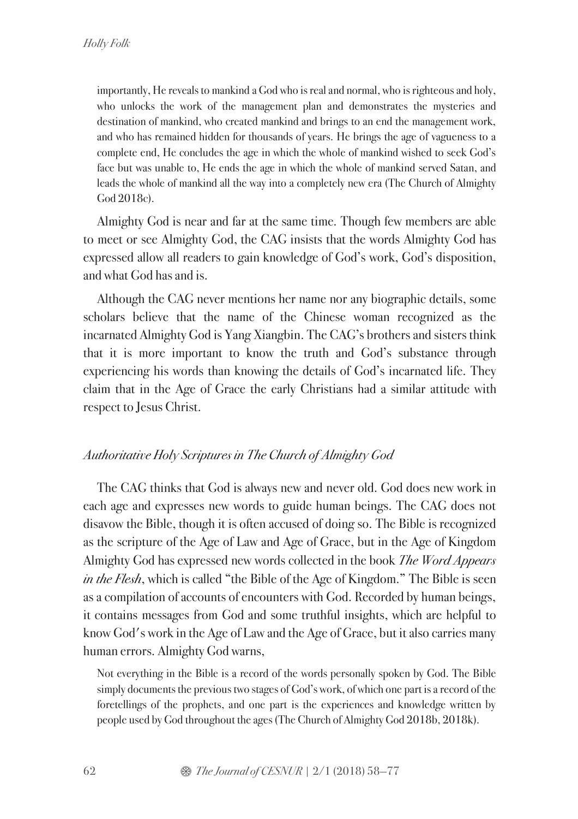importantly, He reveals to mankind a God who is real and normal, who is righteous and holy, who unlocks the work of the management plan and demonstrates the mysteries and destination of mankind, who created mankind and brings to an end the management work, and who has remained hidden for thousands of years. He brings the age of vagueness to a complete end, He concludes the age in which the whole of mankind wished to seek God's face but was unable to, He ends the age in which the whole of mankind served Satan, and leads the whole of mankind all the way into a completely new era (The Church of Almighty God 2018c).

Almighty God is near and far at the same time. Though few members are able to meet or see Almighty God, the CAG insists that the words Almighty God has expressed allow all readers to gain knowledge of God's work, God's disposition, and what God has and is.

Although the CAG never mentions her name nor any biographic details, some scholars believe that the name of the Chinese woman recognized as the incarnated Almighty God is Yang Xiangbin. The CAG's brothers and sisters think that it is more important to know the truth and God's substance through experiencing his words than knowing the details of God's incarnated life. They claim that in the Age of Grace the early Christians had a similar attitude with respect to Jesus Christ.

# *Authoritative Holy Scriptures in The Church of Almighty God*

The CAG thinks that God is always new and never old. God does new work in each age and expresses new words to guide human beings. The CAG does not disavow the Bible, though it is often accused of doing so. The Bible is recognized as the scripture of the Age of Law and Age of Grace, but in the Age of Kingdom Almighty God has expressed new words collected in the book *The Word Appears in the Flesh*, which is called "the Bible of the Age of Kingdom." The Bible is seen as a compilation of accounts of encounters with God. Recorded by human beings, it contains messages from God and some truthful insights, which are helpful to know God's work in the Age of Law and the Age of Grace, but it also carries many human errors. Almighty God warns,

Not everything in the Bible is a record of the words personally spoken by God. The Bible simply documents the previous two stages of God's work, of which one part is a record of the foretellings of the prophets, and one part is the experiences and knowledge written by people used by God throughout the ages(The Church of Almighty God 2018b, 2018k).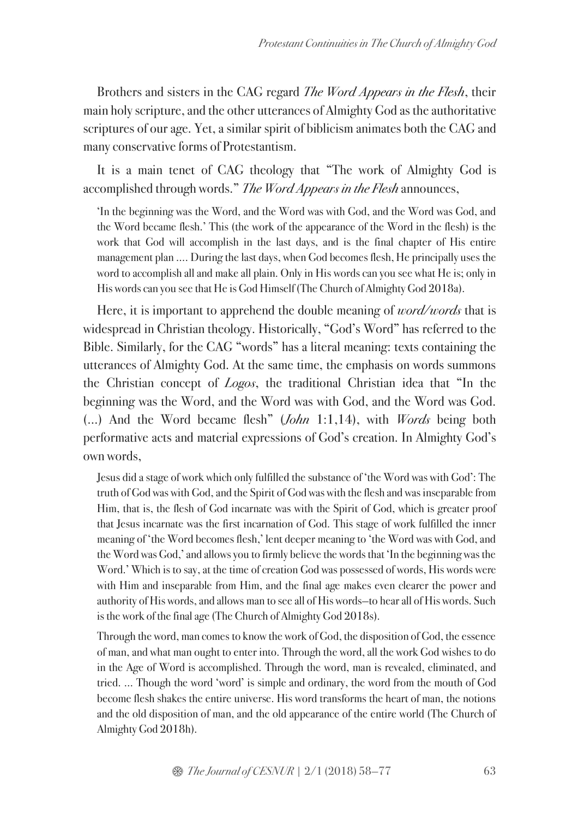Brothers and sisters in the CAG regard *The Word Appears in the Flesh*, their main holy scripture, and the other utterances of Almighty God as the authoritative scriptures of our age. Yet, a similar spirit of biblicism animates both the CAG and many conservative forms of Protestantism.

It is a main tenet of CAG theology that "The work of Almighty God is accomplished through words." *The Word Appears in the Flesh* announces,

'In the beginning was the Word, and the Word was with God, and the Word was God, and the Word became flesh.' This (the work of the appearance of the Word in the flesh) is the work that God will accomplish in the last days, and is the final chapter of His entire management plan .... During the last days, when God becomes flesh, He principally uses the word to accomplish all and make all plain. Only in His words can you see what He is; only in His words can you see that He is God Himself (The Church of Almighty God 2018a).

Here, it is important to apprehend the double meaning of *word/words* that is widespread in Christian theology. Historically, "God's Word" has referred to the Bible. Similarly, for the CAG "words" has a literal meaning: texts containing the utterances of Almighty God. At the same time, the emphasis on words summons the Christian concept of *Logos*, the traditional Christian idea that "In the beginning was the Word, and the Word was with God, and the Word was God. (…) And the Word became flesh" (*John* 1:1,14), with *Words* being both performative acts and material expressions of God's creation. In Almighty God's own words,

Jesus did a stage of work which only fulfilled the substance of 'the Word was with God': The truth of God was with God, and the Spirit of God was with the flesh and was inseparable from Him, that is, the flesh of God incarnate was with the Spirit of God, which is greater proof that Jesus incarnate was the first incarnation of God. This stage of work fulfilled the inner meaning of 'the Word becomes flesh,' lent deeper meaning to 'the Word was with God, and the Word was God,' and allows you to firmly believe the words that 'In the beginning was the Word.' Which is to say, at the time of creation God was possessed of words, His words were with Him and inseparable from Him, and the final age makes even clearer the power and authority of His words, and allows man to see all of His words—to hear all of His words. Such is the work of the final age (The Church of Almighty God 2018s).

Through the word, man comes to know the work of God, the disposition of God, the essence of man, and what man ought to enter into. Through the word, all the work God wishes to do in the Age of Word is accomplished. Through the word, man is revealed, eliminated, and tried. ... Though the word 'word' is simple and ordinary, the word from the mouth of God become flesh shakes the entire universe. His word transforms the heart of man, the notions and the old disposition of man, and the old appearance of the entire world (The Church of Almighty God 2018h).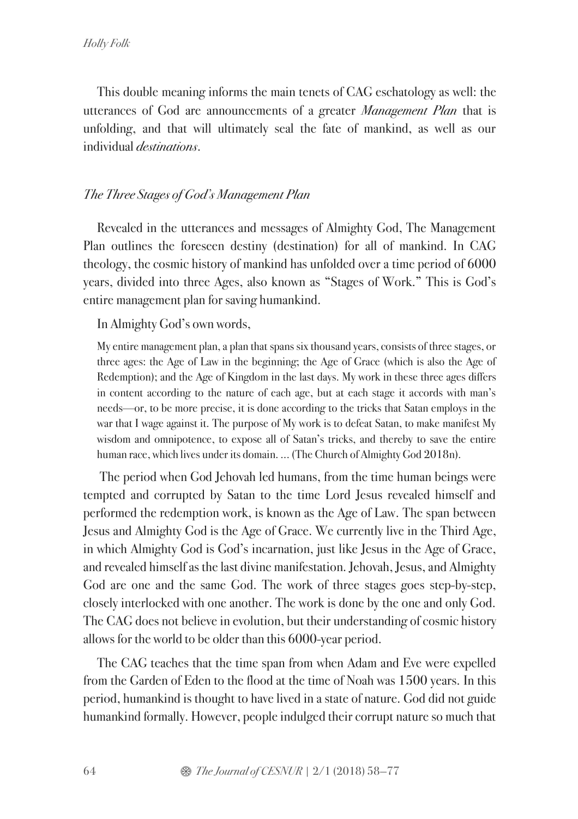This double meaning informs the main tenets of CAG eschatology as well: the utterances of God are announcements of a greater *Management Plan* that is unfolding, and that will ultimately seal the fate of mankind, as well as our individual *destinations*.

## *The Three Stages of God's Management Plan*

Revealed in the utterances and messages of Almighty God, The Management Plan outlines the foreseen destiny (destination) for all of mankind. In CAG theology, the cosmic history of mankind has unfolded over a time period of 6000 years, divided into three Ages, also known as "Stages of Work." This is God's entire management plan for saving humankind.

#### In Almighty God's own words,

My entire management plan, a plan that spans six thousand years, consists of three stages, or three ages: the Age of Law in the beginning; the Age of Grace (which is also the Age of Redemption); and the Age of Kingdom in the last days. My work in these three ages differs in content according to the nature of each age, but at each stage it accords with man's needs—or, to be more precise, it is done according to the tricks that Satan employs in the war that I wage against it. The purpose of My work is to defeat Satan, to make manifest My wisdom and omnipotence, to expose all of Satan's tricks, and thereby to save the entire human race, which lives under its domain. ... (The Church of Almighty God 2018n).

The period when God Jehovah led humans, from the time human beings were tempted and corrupted by Satan to the time Lord Jesus revealed himself and performed the redemption work, is known as the Age of Law. The span between Jesus and Almighty God is the Age of Grace. We currently live in the Third Age, in which Almighty God is God's incarnation, just like Jesus in the Age of Grace, and revealed himself as the last divine manifestation. Jehovah, Jesus, and Almighty God are one and the same God. The work of three stages goes step-by-step, closely interlocked with one another. The work is done by the one and only God. The CAG does not believe in evolution, but their understanding of cosmic history allows for the world to be older than this 6000-year period.

The CAG teaches that the time span from when Adam and Eve were expelled from the Garden of Eden to the flood at the time of Noah was 1500 years. In this period, humankind is thought to have lived in a state of nature. God did not guide humankind formally. However, people indulged their corrupt nature so much that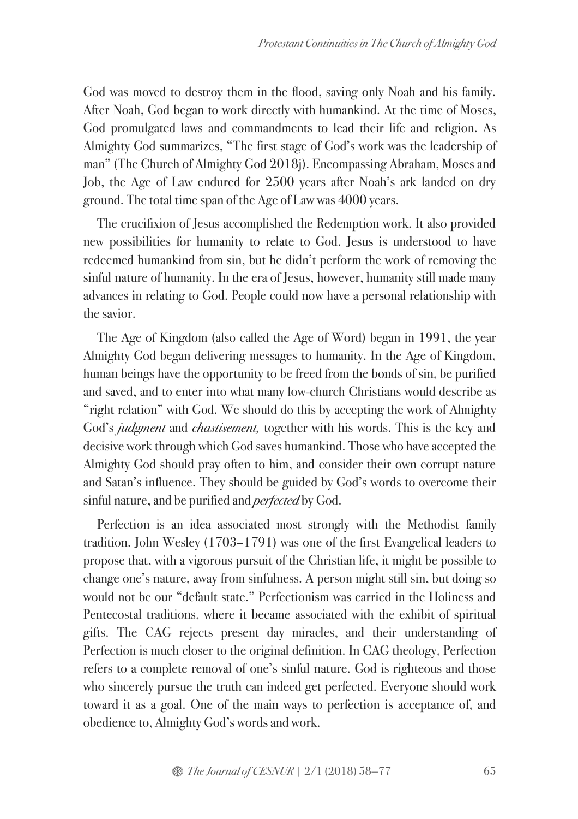God was moved to destroy them in the flood, saving only Noah and his family. After Noah, God began to work directly with humankind. At the time of Moses, God promulgated laws and commandments to lead their life and religion. As Almighty God summarizes, "The first stage of God's work was the leadership of man" (The Church of Almighty God 2018j). Encompassing Abraham, Moses and Job, the Age of Law endured for 2500 years after Noah's ark landed on dry ground. The total time span of the Age of Law was 4000 years.

The crucifixion of Jesus accomplished the Redemption work. It also provided new possibilities for humanity to relate to God. Jesus is understood to have redeemed humankind from sin, but he didn't perform the work of removing the sinful nature of humanity. In the era of Jesus, however, humanity still made many advances in relating to God. People could now have a personal relationship with the savior.

The Age of Kingdom (also called the Age of Word) began in 1991, the year Almighty God began delivering messages to humanity. In the Age of Kingdom, human beings have the opportunity to be freed from the bonds of sin, be purified and saved, and to enter into what many low-church Christians would describe as "right relation" with God. We should do this by accepting the work of Almighty God's *judgment* and *chastisement,* together with his words. This is the key and decisive work through which God saves humankind. Those who have accepted the Almighty God should pray often to him, and consider their own corrupt nature and Satan's influence. They should be guided by God's words to overcome their sinful nature, and be purified and *perfected* by God.

Perfection is an idea associated most strongly with the Methodist family tradition. John Wesley (1703–1791) was one of the first Evangelical leaders to propose that, with a vigorous pursuit of the Christian life, it might be possible to change one's nature, away from sinfulness. A person might still sin, but doing so would not be our "default state." Perfectionism was carried in the Holiness and Pentecostal traditions, where it became associated with the exhibit of spiritual gifts. The CAG rejects present day miracles, and their understanding of Perfection is much closer to the original definition. In CAG theology, Perfection refers to a complete removal of one's sinful nature. God is righteous and those who sincerely pursue the truth can indeed get perfected. Everyone should work toward it as a goal. One of the main ways to perfection is acceptance of, and obedience to, Almighty God's words and work.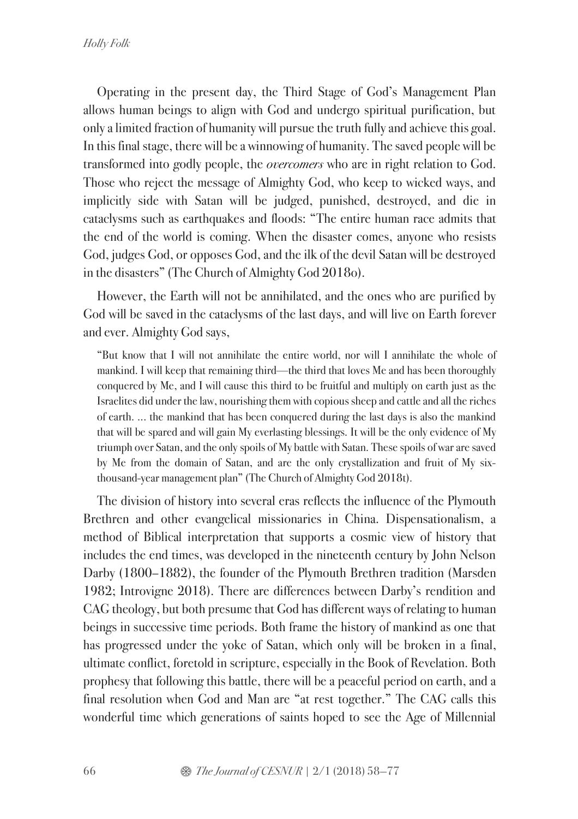Operating in the present day, the Third Stage of God's Management Plan allows human beings to align with God and undergo spiritual purification, but only a limited fraction of humanity will pursue the truth fully and achieve this goal. In this final stage, there will be a winnowing of humanity. The saved people will be transformed into godly people, the *overcomers* who are in right relation to God. Those who reject the message of Almighty God, who keep to wicked ways, and implicitly side with Satan will be judged, punished, destroyed, and die in cataclysms such as earthquakes and floods: "The entire human race admits that the end of the world is coming. When the disaster comes, anyone who resists God, judges God, or opposes God, and the ilk of the devil Satan will be destroyed in the disasters" (The Church of Almighty God 2018o).

However, the Earth will not be annihilated, and the ones who are purified by God will be saved in the cataclysms of the last days, and will live on Earth forever and ever. Almighty God says,

"But know that I will not annihilate the entire world, nor will I annihilate the whole of mankind. I will keep that remaining third—the third that loves Me and has been thoroughly conquered by Me, and I will cause this third to be fruitful and multiply on earth just as the Israelites did under the law, nourishing them with copious sheep and cattle and all the riches of earth. ... the mankind that has been conquered during the last days is also the mankind that will be spared and will gain My everlasting blessings. It will be the only evidence of My triumph over Satan, and the only spoils of My battle with Satan. These spoils of war are saved by Me from the domain of Satan, and are the only crystallization and fruit of My sixthousand-year management plan" (The Church of Almighty God 2018t).

The division of history into several eras reflects the influence of the Plymouth Brethren and other evangelical missionaries in China. Dispensationalism, a method of Biblical interpretation that supports a cosmic view of history that includes the end times, was developed in the nineteenth century by John Nelson Darby (1800–1882), the founder of the Plymouth Brethren tradition (Marsden 1982; Introvigne 2018). There are differences between Darby's rendition and CAG theology, but both presume that God has different ways of relating to human beings in successive time periods. Both frame the history of mankind as one that has progressed under the yoke of Satan, which only will be broken in a final, ultimate conflict, foretold in scripture, especially in the Book of Revelation. Both prophesy that following this battle, there will be a peaceful period on earth, and a final resolution when God and Man are "at rest together." The CAG calls this wonderful time which generations of saints hoped to see the Age of Millennial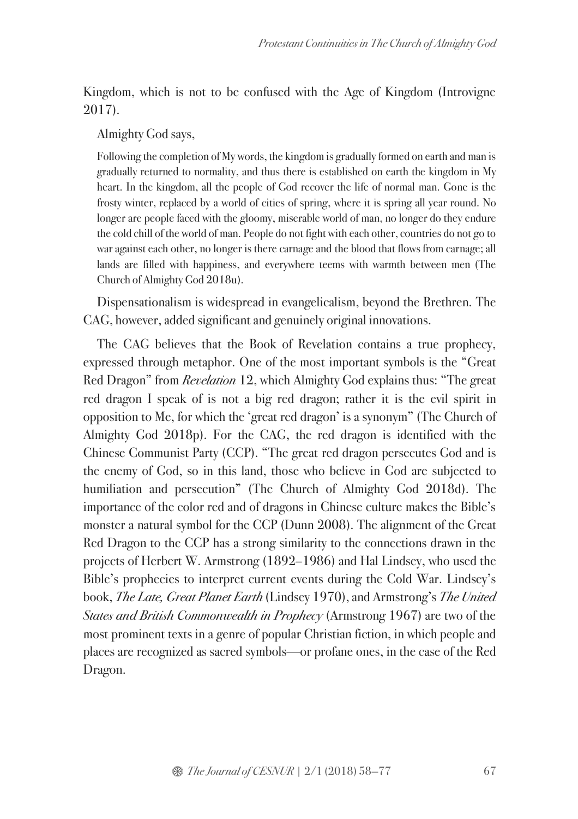Kingdom, which is not to be confused with the Age of Kingdom (Introvigne 2017).

#### Almighty God says,

Following the completion of My words, the kingdom is gradually formed on earth and man is gradually returned to normality, and thus there is established on earth the kingdom in My heart. In the kingdom, all the people of God recover the life of normal man. Gone is the frosty winter, replaced by a world of cities of spring, where it is spring all year round. No longer are people faced with the gloomy, miserable world of man, no longer do they endure the cold chill of the world of man. People do not fight with each other, countries do not go to war against each other, no longer is there carnage and the blood that flows from carnage; all lands are filled with happiness, and everywhere teems with warmth between men (The Church of Almighty God 2018u).

Dispensationalism is widespread in evangelicalism, beyond the Brethren. The CAG, however, added significant and genuinely original innovations.

The CAG believes that the Book of Revelation contains a true prophecy, expressed through metaphor. One of the most important symbols is the "Great Red Dragon" from *Revelation* 12, which Almighty God explains thus: "The great red dragon I speak of is not a big red dragon; rather it is the evil spirit in opposition to Me, for which the 'great red dragon' is a synonym" (The Church of Almighty God 2018p). For the CAG, the red dragon is identified with the Chinese Communist Party (CCP). "The great red dragon persecutes God and is the enemy of God, so in this land, those who believe in God are subjected to humiliation and persecution" (The Church of Almighty God 2018d). The importance of the color red and of dragons in Chinese culture makes the Bible's monster a natural symbol for the CCP (Dunn 2008). The alignment of the Great Red Dragon to the CCP has a strong similarity to the connections drawn in the projects of Herbert W. Armstrong (1892–1986) and Hal Lindsey, who used the Bible's prophecies to interpret current events during the Cold War. Lindsey's book, *The Late, Great Planet Earth* (Lindsey 1970), and Armstrong's *The United States and British Commonwealth in Prophecy* (Armstrong 1967) are two of the most prominent texts in a genre of popular Christian fiction, in which people and places are recognized as sacred symbols—or profane ones, in the case of the Red Dragon.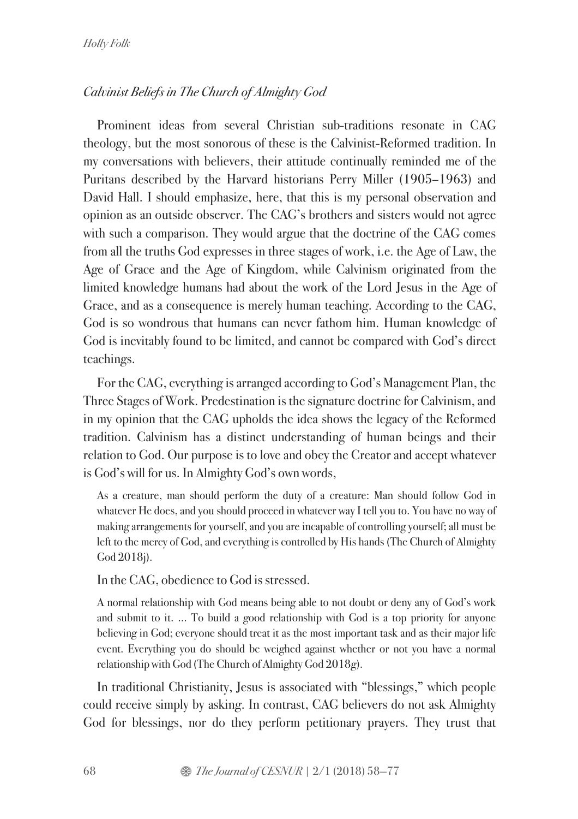# *Calvinist Beliefs in The Church of Almighty God*

Prominent ideas from several Christian sub-traditions resonate in CAG theology, but the most sonorous of these is the Calvinist-Reformed tradition. In my conversations with believers, their attitude continually reminded me of the Puritans described by the Harvard historians Perry Miller (1905–1963) and David Hall. I should emphasize, here, that this is my personal observation and opinion as an outside observer. The CAG's brothers and sisters would not agree with such a comparison. They would argue that the doctrine of the CAG comes from all the truths God expresses in three stages of work, i.e. the Age of Law, the Age of Grace and the Age of Kingdom, while Calvinism originated from the limited knowledge humans had about the work of the Lord Jesus in the Age of Grace, and as a consequence is merely human teaching. According to the CAG, God is so wondrous that humans can never fathom him. Human knowledge of God is inevitably found to be limited, and cannot be compared with God's direct teachings.

For the CAG, everything is arranged according to God's Management Plan, the Three Stages of Work. Predestination is the signature doctrine for Calvinism, and in my opinion that the CAG upholds the idea shows the legacy of the Reformed tradition. Calvinism has a distinct understanding of human beings and their relation to God. Our purpose is to love and obey the Creator and accept whatever is God's will for us. In Almighty God's own words,

As a creature, man should perform the duty of a creature: Man should follow God in whatever He does, and you should proceed in whatever way I tell you to. You have no way of making arrangements for yourself, and you are incapable of controlling yourself; all must be left to the mercy of God, and everything is controlled by His hands (The Church of Almighty God 2018j).

In the CAG, obedience to God is stressed.

A normal relationship with God means being able to not doubt or deny any of God's work and submit to it. ... To build a good relationship with God is a top priority for anyone believing in God; everyone should treat it as the most important task and as their major life event. Everything you do should be weighed against whether or not you have a normal relationship with God (The Church of Almighty God 2018g).

In traditional Christianity, Jesus is associated with "blessings," which people could receive simply by asking. In contrast, CAG believers do not ask Almighty God for blessings, nor do they perform petitionary prayers. They trust that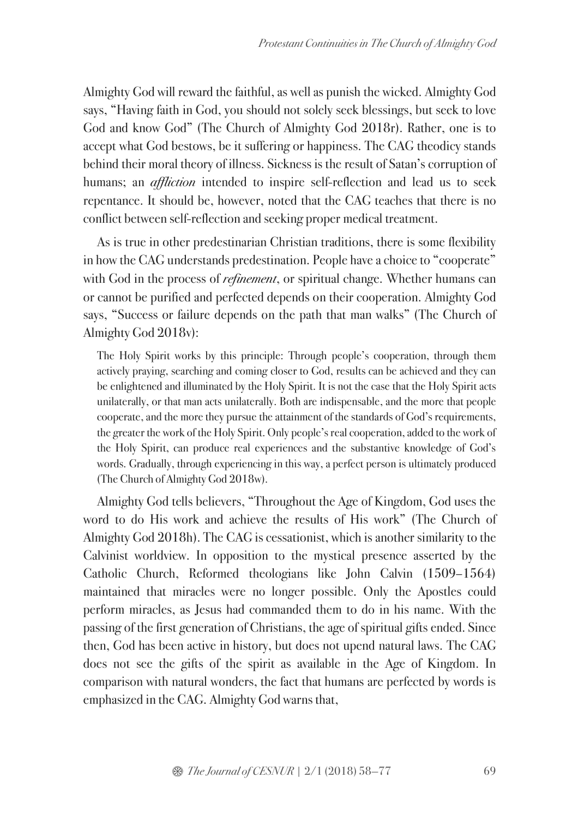Almighty God will reward the faithful, as well as punish the wicked. Almighty God says, "Having faith in God, you should not solely seek blessings, but seek to love God and know God" (The Church of Almighty God 2018r). Rather, one is to accept what God bestows, be it suffering or happiness. The CAG theodicy stands behind their moral theory of illness. Sickness is the result of Satan's corruption of humans; an *affliction* intended to inspire self-reflection and lead us to seek repentance. It should be, however, noted that the CAG teaches that there is no conflict between self-reflection and seeking proper medical treatment.

As is true in other predestinarian Christian traditions, there is some flexibility in how the CAG understands predestination. People have a choice to "cooperate" with God in the process of *refinement*, or spiritual change. Whether humans can or cannot be purified and perfected depends on their cooperation. Almighty God says, "Success or failure depends on the path that man walks" (The Church of Almighty God 2018v):

The Holy Spirit works by this principle: Through people's cooperation, through them actively praying, searching and coming closer to God, results can be achieved and they can be enlightened and illuminated by the Holy Spirit. It is not the case that the Holy Spirit acts unilaterally, or that man acts unilaterally. Both are indispensable, and the more that people cooperate, and the more they pursue the attainment of the standards of God's requirements, the greater the work of the Holy Spirit. Only people's real cooperation, added to the work of the Holy Spirit, can produce real experiences and the substantive knowledge of God's words. Gradually, through experiencing in this way, a perfect person is ultimately produced (The Church of Almighty God 2018w).

Almighty God tells believers, "Throughout the Age of Kingdom, God uses the word to do His work and achieve the results of His work" (The Church of Almighty God 2018h). The CAG is cessationist, which is another similarity to the Calvinist worldview. In opposition to the mystical presence asserted by the Catholic Church, Reformed theologians like John Calvin (1509–1564) maintained that miracles were no longer possible. Only the Apostles could perform miracles, as Jesus had commanded them to do in his name. With the passing of the first generation of Christians, the age of spiritual gifts ended. Since then, God has been active in history, but does not upend natural laws. The CAG does not see the gifts of the spirit as available in the Age of Kingdom. In comparison with natural wonders, the fact that humans are perfected by words is emphasized in the CAG. Almighty God warns that,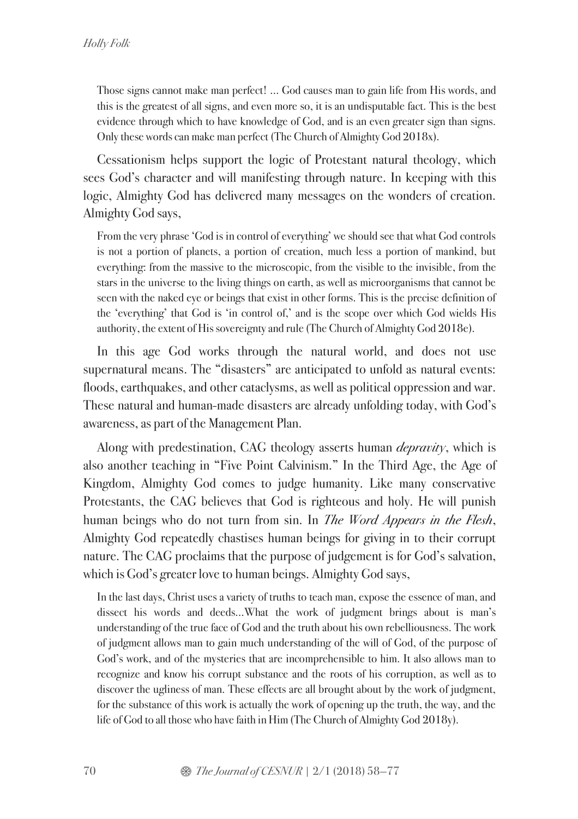Those signs cannot make man perfect! … God causes man to gain life from His words, and this is the greatest of all signs, and even more so, it is an undisputable fact. This is the best evidence through which to have knowledge of God, and is an even greater sign than signs. Only these words can make man perfect (The Church of Almighty God 2018x).

Cessationism helps support the logic of Protestant natural theology, which sees God's character and will manifesting through nature. In keeping with this logic, Almighty God has delivered many messages on the wonders of creation. Almighty God says,

From the very phrase 'God is in control of everything' we should see that what God controls is not a portion of planets, a portion of creation, much less a portion of mankind, but everything: from the massive to the microscopic, from the visible to the invisible, from the stars in the universe to the living things on earth, as well as microorganisms that cannot be seen with the naked eye or beings that exist in other forms. This is the precise definition of the 'everything' that God is 'in control of,' and is the scope over which God wields His authority, the extent of His sovereignty and rule (The Church of Almighty God 2018e).

In this age God works through the natural world, and does not use supernatural means. The "disasters" are anticipated to unfold as natural events: floods, earthquakes, and other cataclysms, as well as political oppression and war. These natural and human-made disasters are already unfolding today, with God's awareness, as part of the Management Plan.

Along with predestination, CAG theology asserts human *depravity*, which is also another teaching in "Five Point Calvinism." In the Third Age, the Age of Kingdom, Almighty God comes to judge humanity. Like many conservative Protestants, the CAG believes that God is righteous and holy. He will punish human beings who do not turn from sin. In *The Word Appears in the Flesh*, Almighty God repeatedly chastises human beings for giving in to their corrupt nature. The CAG proclaims that the purpose of judgement is for God's salvation, which is God's greater love to human beings. Almighty God says,

In the last days, Christ uses a variety of truths to teach man, expose the essence of man, and dissect his words and deeds…What the work of judgment brings about is man's understanding of the true face of God and the truth about his own rebelliousness. The work of judgment allows man to gain much understanding of the will of God, of the purpose of God's work, and of the mysteries that are incomprehensible to him. It also allows man to recognize and know his corrupt substance and the roots of his corruption, as well as to discover the ugliness of man. These effects are all brought about by the work of judgment, for the substance of this work is actually the work of opening up the truth, the way, and the life of God to all those who have faith in Him (The Church of Almighty God 2018y).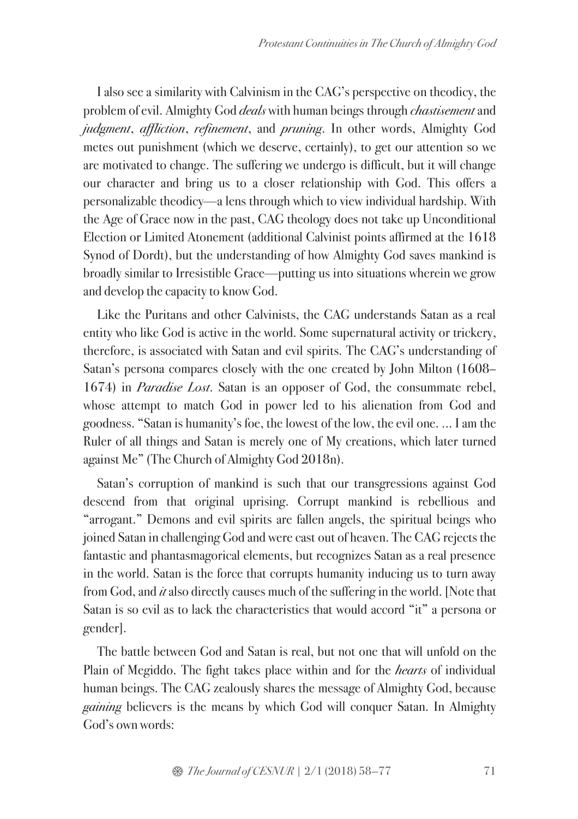I also see a similarity with Calvinism in the CAG's perspective on theodicy, the problem of evil. Almighty God *deals* with human beings through *chastisement*and *judgment*, *affliction*, *refinement*, and *pruning*. In other words, Almighty God metes out punishment (which we deserve, certainly), to get our attention so we are motivated to change. The suffering we undergo is difficult, but it will change our character and bring us to a closer relationship with God. This offers a personalizable theodicy—a lens through which to view individual hardship. With the Age of Grace now in the past, CAG theology does not take up Unconditional Election or Limited Atonement (additional Calvinist points affirmed at the 1618 Synod of Dordt), but the understanding of how Almighty God saves mankind is broadly similar to Irresistible Grace—putting us into situations wherein we grow and develop the capacity to know God.

Like the Puritans and other Calvinists, the CAG understands Satan as a real entity who like God is active in the world. Some supernatural activity or trickery, therefore, is associated with Satan and evil spirits. The CAG's understanding of Satan's persona compares closely with the one created by John Milton (1608– 1674) in *Paradise Lost*. Satan is an opposer of God, the consummate rebel, whose attempt to match God in power led to his alienation from God and goodness. "Satan is humanity's foe, the lowest of the low, the evil one. ... I am the Ruler of all things and Satan is merely one of My creations, which later turned against Me" (The Church of Almighty God 2018n).

Satan's corruption of mankind is such that our transgressions against God descend from that original uprising. Corrupt mankind is rebellious and "arrogant." Demons and evil spirits are fallen angels, the spiritual beings who joined Satan in challenging God and were cast out of heaven. The CAG rejects the fantastic and phantasmagorical elements, but recognizes Satan as a real presence in the world. Satan is the force that corrupts humanity inducing us to turn away from God, and *it* also directly causes much of the suffering in the world. [Note that Satan is so evil as to lack the characteristics that would accord "it" a persona or gender].

The battle between God and Satan is real, but not one that will unfold on the Plain of Megiddo. The fight takes place within and for the *hearts* of individual human beings. The CAG zealously shares the message of Almighty God, because *gaining* believers is the means by which God will conquer Satan. In Almighty God's own words: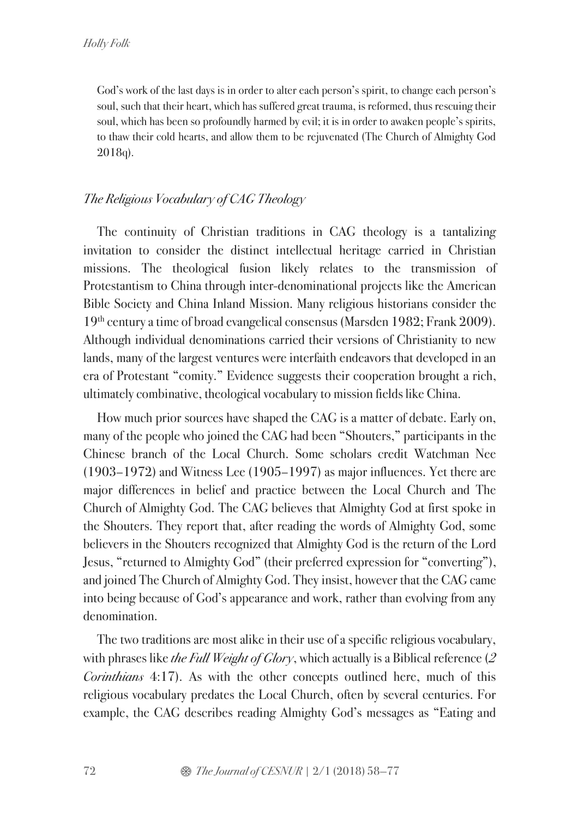God's work of the last days is in order to alter each person's spirit, to change each person's soul, such that their heart, which has suffered great trauma, is reformed, thus rescuing their soul, which has been so profoundly harmed by evil; it is in order to awaken people's spirits, to thaw their cold hearts, and allow them to be rejuvenated (The Church of Almighty God 2018q).

# *The Religious Vocabulary of CAG Theology*

The continuity of Christian traditions in CAG theology is a tantalizing invitation to consider the distinct intellectual heritage carried in Christian missions. The theological fusion likely relates to the transmission of Protestantism to China through inter-denominational projects like the American Bible Society and China Inland Mission. Many religious historians consider the 19th century a time of broad evangelical consensus (Marsden 1982; Frank 2009). Although individual denominations carried their versions of Christianity to new lands, many of the largest ventures were interfaith endeavors that developed in an era of Protestant "comity." Evidence suggests their cooperation brought a rich, ultimately combinative, theological vocabulary to mission fields like China.

How much prior sources have shaped the CAG is a matter of debate. Early on, many of the people who joined the CAG had been "Shouters," participants in the Chinese branch of the Local Church. Some scholars credit Watchman Nee (1903–1972) and Witness Lee (1905–1997) as major influences. Yet there are major differences in belief and practice between the Local Church and The Church of Almighty God. The CAG believes that Almighty God at first spoke in the Shouters. They report that, after reading the words of Almighty God, some believers in the Shouters recognized that Almighty God is the return of the Lord Jesus, "returned to Almighty God" (their preferred expression for "converting"), and joined The Church of Almighty God. They insist, however that the CAG came into being because of God's appearance and work, rather than evolving from any denomination.

The two traditions are most alike in their use of a specific religious vocabulary, with phrases like *the Full Weight of Glory*, which actually is a Biblical reference (*2 Corinthians* 4:17). As with the other concepts outlined here, much of this religious vocabulary predates the Local Church, often by several centuries. For example, the CAG describes reading Almighty God's messages as "Eating and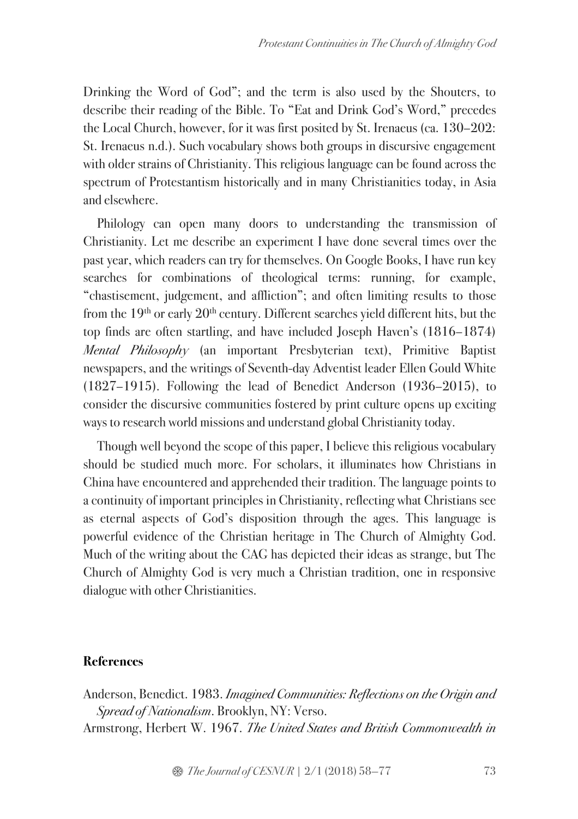Drinking the Word of God"; and the term is also used by the Shouters, to describe their reading of the Bible. To "Eat and Drink God's Word," precedes the Local Church, however, for it was first posited by St. Irenaeus (ca. 130–202: St. Irenaeus n.d.). Such vocabulary shows both groups in discursive engagement with older strains of Christianity. This religious language can be found across the spectrum of Protestantism historically and in many Christianities today, in Asia and elsewhere.

Philology can open many doors to understanding the transmission of Christianity. Let me describe an experiment I have done several times over the past year, which readers can try for themselves. On Google Books, I have run key searches for combinations of theological terms: running, for example, "chastisement, judgement, and affliction"; and often limiting results to those from the  $19<sup>th</sup>$  or early  $20<sup>th</sup>$  century. Different searches yield different hits, but the top finds are often startling, and have included Joseph Haven's (1816–1874) *Mental Philosophy* (an important Presbyterian text), Primitive Baptist newspapers, and the writings of Seventh-day Adventist leader Ellen Gould White (1827–1915). Following the lead of Benedict Anderson (1936–2015), to consider the discursive communities fostered by print culture opens up exciting ways to research world missions and understand global Christianity today.

Though well beyond the scope of this paper, I believe this religious vocabulary should be studied much more. For scholars, it illuminates how Christians in China have encountered and apprehended their tradition. The language points to a continuity of important principles in Christianity, reflecting what Christians see as eternal aspects of God's disposition through the ages. This language is powerful evidence of the Christian heritage in The Church of Almighty God. Much of the writing about the CAG has depicted their ideas as strange, but The Church of Almighty God is very much a Christian tradition, one in responsive dialogue with other Christianities.

# **References**

Anderson, Benedict. 1983. *Imagined Communities: Reflections on the Origin and Spread of Nationalism*. Brooklyn, NY: Verso. Armstrong, Herbert W. 1967. *The United States and British Commonwealth in*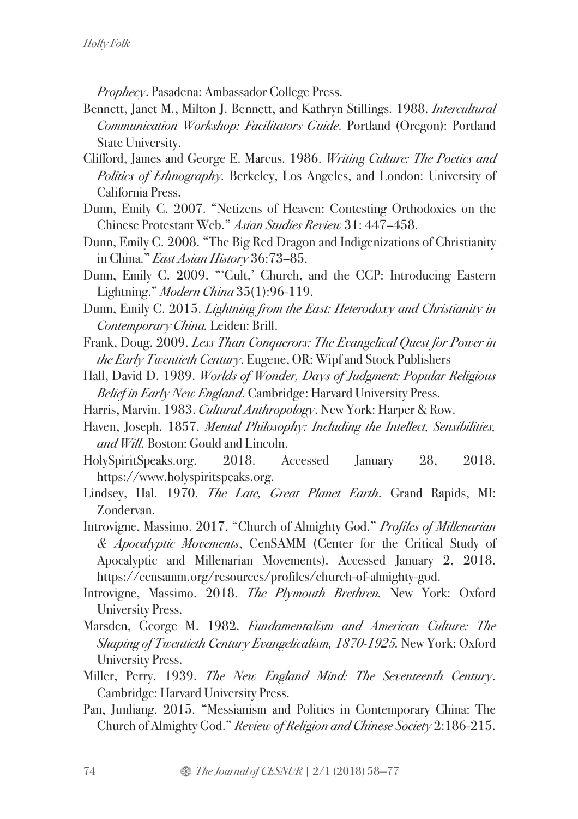*Prophecy*. Pasadena: Ambassador College Press.

- Bennett, Janet M., Milton J. Bennett, and Kathryn Stillings. 1988. *Intercultural Communication Workshop: Facilitators Guide*. Portland (Oregon): Portland State University.
- Clifford, James and George E. Marcus. 1986. *Writing Culture: The Poetics and Politics of Ethnography.* Berkeley, Los Angeles, and London: University of California Press.
- Dunn, Emily C. 2007. "Netizens of Heaven: Contesting Orthodoxies on the Chinese Protestant Web." *Asian Studies Review* 31: 447–458.
- Dunn, Emily C. 2008. "The Big Red Dragon and Indigenizations of Christianity in China." *East Asian History* 36:73–85.
- Dunn, Emily C. 2009. "'Cult,' Church, and the CCP: Introducing Eastern Lightning." *Modern China* 35(1):96-119.
- Dunn, Emily C. 2015. *Lightning from the East: Heterodoxy and Christianity in Contemporary China.* Leiden: Brill.
- Frank, Doug. 2009. *Less Than Conquerors: The Evangelical Quest for Power in the Early Twentieth Century*. Eugene, OR: Wipf and Stock Publishers
- Hall, David D. 1989. *Worlds of Wonder, Days of Judgment: Popular Religious Belief in Early New England*. Cambridge: Harvard University Press.
- Harris, Marvin. 1983. *Cultural Anthropology*. New York: Harper & Row.
- Haven, Joseph. 1857. *Mental Philosophy: Including the Intellect, Sensibilities, and Will*. Boston: Gould and Lincoln.
- HolySpiritSpeaks.org. 2018. Accessed January 28, 2018. https://www.holyspiritspeaks.org.
- Lindsey, Hal. 1970. *The Late, Great Planet Earth*. Grand Rapids, MI: Zondervan.
- Introvigne, Massimo. 2017. "Church of Almighty God." *Profiles of Millenarian & Apocalyptic Movements*, CenSAMM (Center for the Critical Study of Apocalyptic and Millenarian Movements). Accessed January 2, 2018. https://censamm.org/resources/profiles/church-of-almighty-god.
- Introvigne, Massimo. 2018. *The Plymouth Brethren.* New York: Oxford University Press.
- Marsden, George M. 1982. *Fundamentalism and American Culture: The Shaping of Twentieth Century Evangelicalism, 1870-1925.* New York: Oxford University Press.
- Miller, Perry. 1939. *The New England Mind: The Seventeenth Century*. Cambridge: Harvard University Press.
- Pan, Junliang. 2015. "Messianism and Politics in Contemporary China: The Church of Almighty God." *Review of Religion and Chinese Society* 2:186-215.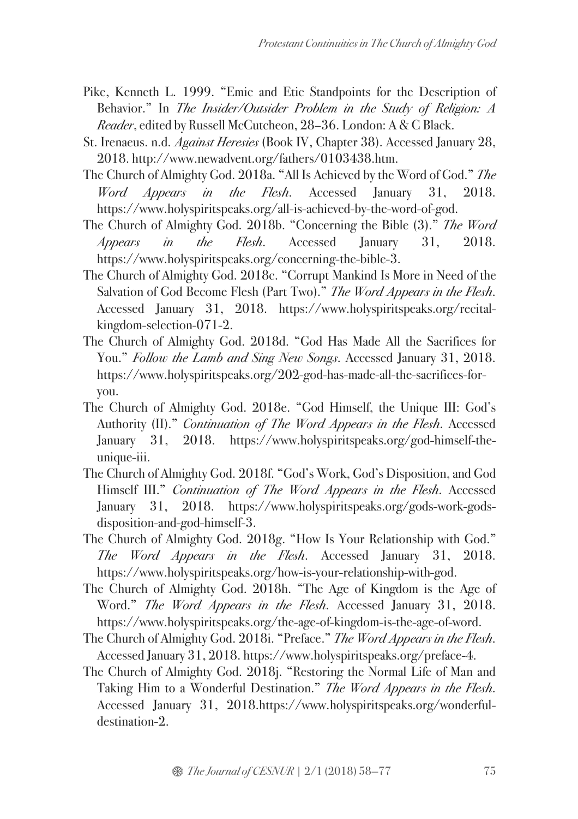- Pike, Kenneth L. 1999. "Emic and Etic Standpoints for the Description of Behavior." In *The Insider/Outsider Problem in the Study of Religion: A Reader*, edited by Russell McCutcheon, 28–36. London: A & C Black.
- St. Irenaeus. n.d. *Against Heresies* (Book IV, Chapter 38). Accessed January 28, 2018. http://www.newadvent.org/fathers/0103438.htm.
- The Church of Almighty God. 2018a. "All Is Achieved by the Word of God." *The Word Appears in the Flesh*. Accessed January 31, 2018. https://www.holyspiritspeaks.org/all-is-achieved-by-the-word-of-god.
- The Church of Almighty God. 2018b. "Concerning the Bible (3)." *The Word Appears in the Flesh*. Accessed January 31, 2018. https://www.holyspiritspeaks.org/concerning-the-bible-3.
- The Church of Almighty God. 2018c. "Corrupt Mankind Is More in Need of the Salvation of God Become Flesh (Part Two)." *The Word Appears in the Flesh*. Accessed January 31, 2018. https://www.holyspiritspeaks.org/recitalkingdom-selection-071-2.
- The Church of Almighty God. 2018d. "God Has Made All the Sacrifices for You." *Follow the Lamb and Sing New Songs*. Accessed January 31, 2018. https://www.holyspiritspeaks.org/202-god-has-made-all-the-sacrifices-foryou.
- The Church of Almighty God. 2018e. "God Himself, the Unique III: God's Authority (II)." *Continuation of The Word Appears in the Flesh*. Accessed January 31, 2018. https://www.holyspiritspeaks.org/god-himself-theunique-iii.
- The Church of Almighty God. 2018f. "God's Work, God's Disposition, and God Himself III." *Continuation of The Word Appears in the Flesh*. Accessed January 31, 2018. https://www.holyspiritspeaks.org/gods-work-godsdisposition-and-god-himself-3.
- The Church of Almighty God. 2018g. "How Is Your Relationship with God." *The Word Appears in the Flesh*. Accessed January 31, 2018. https://www.holyspiritspeaks.org/how-is-your-relationship-with-god.
- The Church of Almighty God. 2018h. "The Age of Kingdom is the Age of Word." *The Word Appears in the Flesh*. Accessed January 31, 2018. https://www.holyspiritspeaks.org/the-age-of-kingdom-is-the-age-of-word.
- The Church of Almighty God. 2018i. "Preface." *The Word Appears in the Flesh*. Accessed January 31, 2018. https://www.holyspiritspeaks.org/preface-4.
- The Church of Almighty God. 2018j. "Restoring the Normal Life of Man and Taking Him to a Wonderful Destination." *The Word Appears in the Flesh*. Accessed January 31, 2018.https://www.holyspiritspeaks.org/wonderfuldestination-2.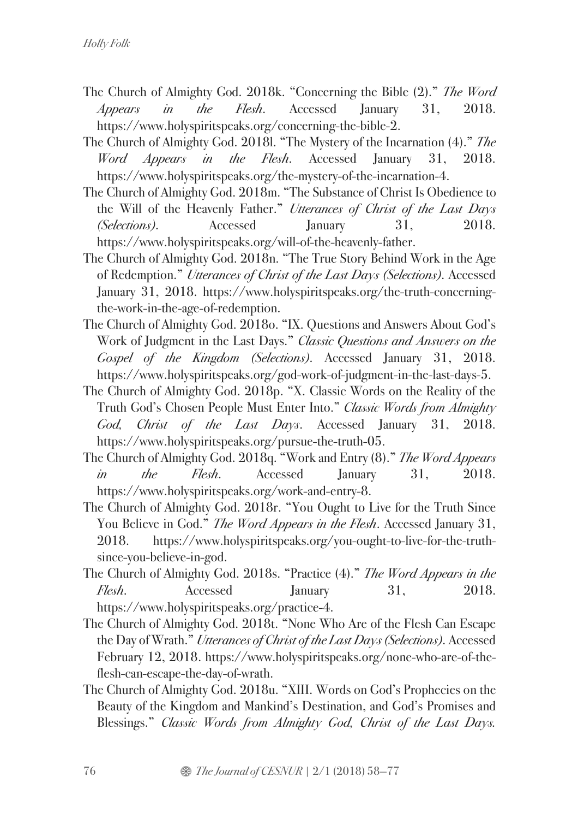- The Church of Almighty God. 2018k. "Concerning the Bible (2)." *The Word Appears in the Flesh*. Accessed January 31, 2018. https://www.holyspiritspeaks.org/concerning-the-bible-2.
- The Church of Almighty God. 2018l. "The Mystery of the Incarnation (4)." *The Word Appears in the Flesh*. Accessed January 31, 2018. https://www.holyspiritspeaks.org/the-mystery-of-the-incarnation-4.
- The Church of Almighty God. 2018m. "The Substance of Christ Is Obedience to the Will of the Heavenly Father." *Utterances of Christ of the Last Days (Selections)*. Accessed January 31, 2018. https://www.holyspiritspeaks.org/will-of-the-heavenly-father.
- The Church of Almighty God. 2018n. "The True Story Behind Work in the Age of Redemption." *Utterances of Christ of the Last Days (Selections)*. Accessed January 31, 2018. https://www.holyspiritspeaks.org/the-truth-concerningthe-work-in-the-age-of-redemption.
- The Church of Almighty God. 2018o. "IX. Questions and Answers About God's Work of Judgment in the Last Days." *Classic Questions and Answers on the Gospel of the Kingdom (Selections)*. Accessed January 31, 2018. https://www.holyspiritspeaks.org/god-work-of-judgment-in-the-last-days-5.
- The Church of Almighty God. 2018p. "X. Classic Words on the Reality of the Truth God's Chosen People Must Enter Into." *Classic Words from Almighty God, Christ of the Last Days*. Accessed January 31, 2018. https://www.holyspiritspeaks.org/pursue-the-truth-05.
- The Church of Almighty God. 2018q. "Work and Entry (8)." *The Word Appears in the Flesh*. Accessed January 31, 2018. https://www.holyspiritspeaks.org/work-and-entry-8.
- The Church of Almighty God. 2018r. "You Ought to Live for the Truth Since You Believe in God." *The Word Appears in the Flesh*. Accessed January 31, 2018. https://www.holyspiritspeaks.org/you-ought-to-live-for-the-truthsince-you-believe-in-god.
- The Church of Almighty God. 2018s. "Practice (4)." *The Word Appears in the Flesh*. Accessed January 31, 2018. https://www.holyspiritspeaks.org/practice-4.
- The Church of Almighty God. 2018t. "None Who Are of the Flesh Can Escape the Day of Wrath." *Utterances of Christ of the Last Days (Selections)*. Accessed February 12, 2018. https://www.holyspiritspeaks.org/none-who-are-of-theflesh-can-escape-the-day-of-wrath.
- The Church of Almighty God. 2018u. "XIII. Words on God's Prophecies on the Beauty of the Kingdom and Mankind's Destination, and God's Promises and Blessings." *Classic Words from Almighty God, Christ of the Last Days.*